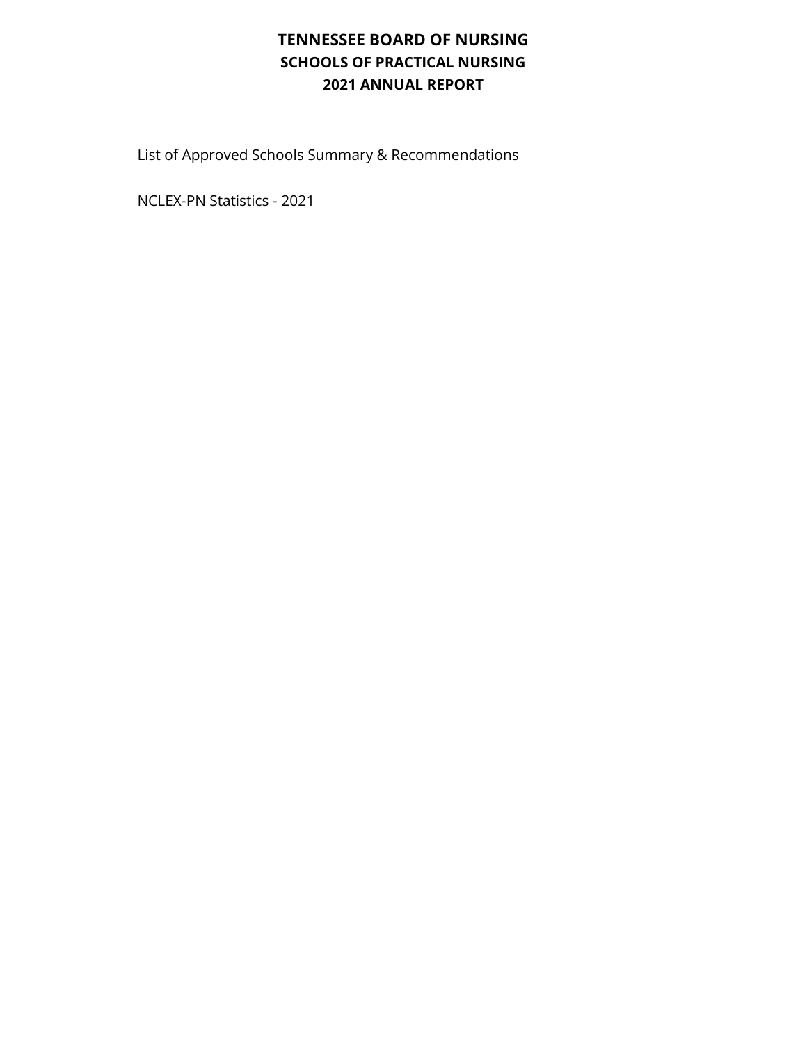## **TENNESSEE BOARD OF NURSING SCHOOLS OF PRACTICAL NURSING 2021 ANNUAL REPORT**

List of Approved Schools Summary & Recommendations

NCLEX-PN Statistics - 2021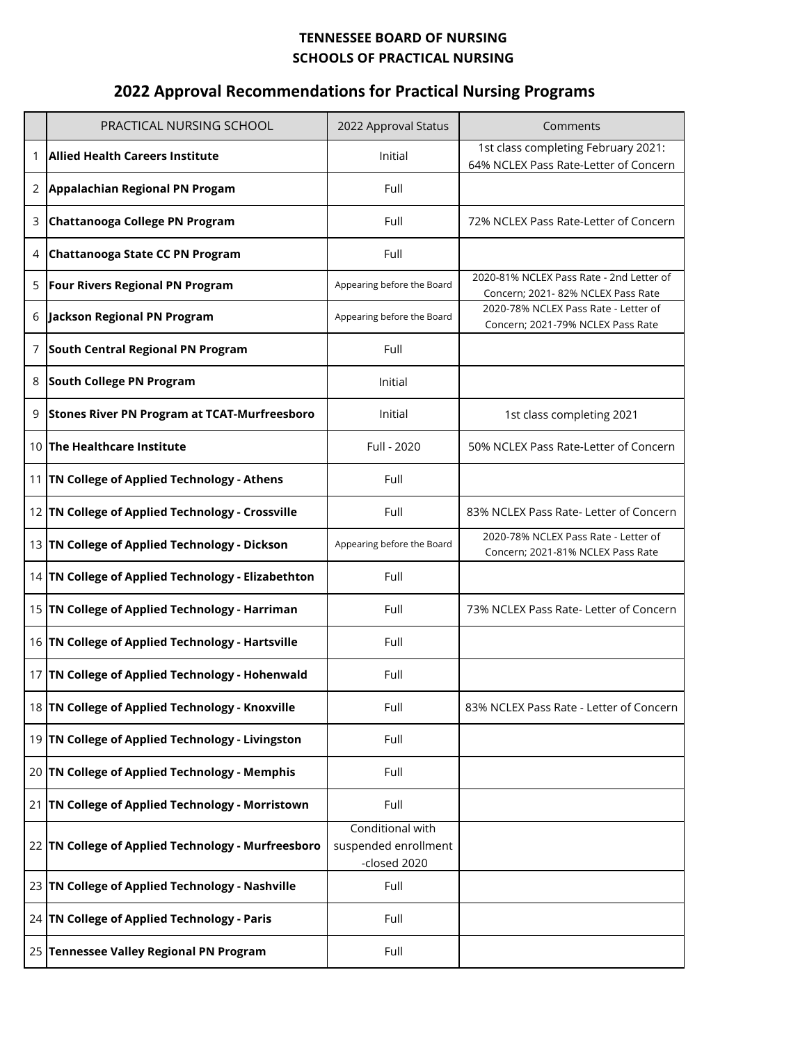## **TENNESSEE BOARD OF NURSING SCHOOLS OF PRACTICAL NURSING**

## **2022 ANNUAL REPORT 2022 Approval Recommendations for Practical Nursing Programs**

|   | PRACTICAL NURSING SCHOOL                            | 2022 Approval Status                                     | Comments                                                                       |
|---|-----------------------------------------------------|----------------------------------------------------------|--------------------------------------------------------------------------------|
| 1 | <b>Allied Health Careers Institute</b>              | Initial                                                  | 1st class completing February 2021:<br>64% NCLEX Pass Rate-Letter of Concern   |
| 2 | Appalachian Regional PN Progam                      | Full                                                     |                                                                                |
| 3 | Chattanooga College PN Program                      | Full                                                     | 72% NCLEX Pass Rate-Letter of Concern                                          |
| 4 | <b>Chattanooga State CC PN Program</b>              | Full                                                     |                                                                                |
| 5 | <b>Four Rivers Regional PN Program</b>              | Appearing before the Board                               | 2020-81% NCLEX Pass Rate - 2nd Letter of<br>Concern; 2021- 82% NCLEX Pass Rate |
| 6 | <b>Jackson Regional PN Program</b>                  | Appearing before the Board                               | 2020-78% NCLEX Pass Rate - Letter of<br>Concern; 2021-79% NCLEX Pass Rate      |
| 7 | <b>South Central Regional PN Program</b>            | Full                                                     |                                                                                |
| 8 | <b>South College PN Program</b>                     | Initial                                                  |                                                                                |
| 9 | <b>Stones River PN Program at TCAT-Murfreesboro</b> | Initial                                                  | 1st class completing 2021                                                      |
|   | 10 The Healthcare Institute                         | Full - 2020                                              | 50% NCLEX Pass Rate-Letter of Concern                                          |
|   | 11   TN College of Applied Technology - Athens      | Full                                                     |                                                                                |
|   | 12 TN College of Applied Technology - Crossville    | Full                                                     | 83% NCLEX Pass Rate- Letter of Concern                                         |
|   | 13 TN College of Applied Technology - Dickson       | Appearing before the Board                               | 2020-78% NCLEX Pass Rate - Letter of<br>Concern; 2021-81% NCLEX Pass Rate      |
|   | 14 TN College of Applied Technology - Elizabethton  | Full                                                     |                                                                                |
|   | 15 TN College of Applied Technology - Harriman      | Full                                                     | 73% NCLEX Pass Rate-Letter of Concern                                          |
|   | 16 TN College of Applied Technology - Hartsville    | Full                                                     |                                                                                |
|   | 17 TN College of Applied Technology - Hohenwald     | Full                                                     |                                                                                |
|   | 18 TN College of Applied Technology - Knoxville     | Full                                                     | 83% NCLEX Pass Rate - Letter of Concern                                        |
|   | 19 TN College of Applied Technology - Livingston    | Full                                                     |                                                                                |
|   | 20 TN College of Applied Technology - Memphis       | Full                                                     |                                                                                |
|   | 21 TN College of Applied Technology - Morristown    | Full                                                     |                                                                                |
|   | 22 TN College of Applied Technology - Murfreesboro  | Conditional with<br>suspended enrollment<br>-closed 2020 |                                                                                |
|   | 23 TN College of Applied Technology - Nashville     | Full                                                     |                                                                                |
|   | 24 TN College of Applied Technology - Paris         | Full                                                     |                                                                                |
|   | 25 Tennessee Valley Regional PN Program             | Full                                                     |                                                                                |